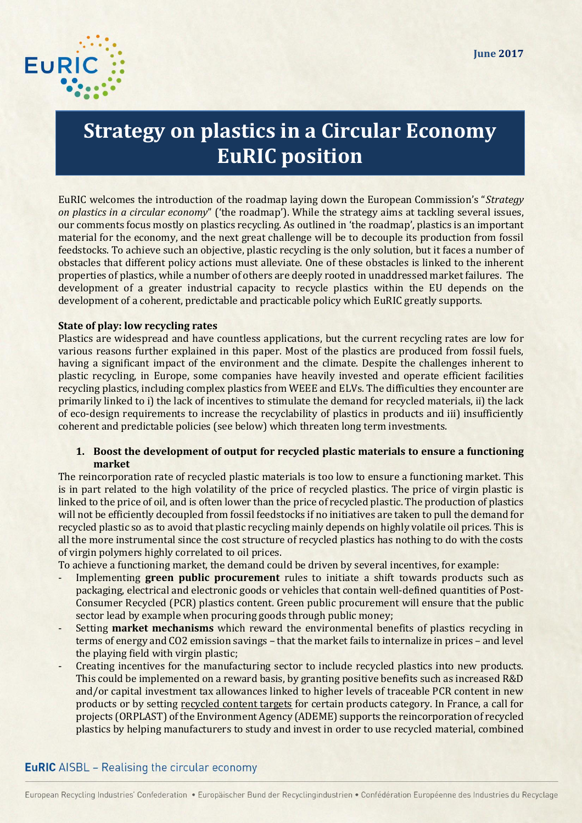

# **Strategy on plastics in a Circular Economy EuRIC position**

EuRIC welcomes the introduction of the roadmap laying down the European Commission's "*Strategy on plastics in a circular economy*" ('the roadmap'). While the strategy aims at tackling several issues, our comments focus mostly on plastics recycling. As outlined in 'the roadmap', plastics is an important material for the economy, and the next great challenge will be to decouple its production from fossil feedstocks. To achieve such an objective, plastic recycling is the only solution, but it faces a number of obstacles that different policy actions must alleviate. One of these obstacles is linked to the inherent properties of plastics, while a number of others are deeply rooted in unaddressed market failures. The development of a greater industrial capacity to recycle plastics within the EU depends on the development of a coherent, predictable and practicable policy which EuRIC greatly supports.

#### **State of play: low recycling rates**

Plastics are widespread and have countless applications, but the current recycling rates are low for various reasons further explained in this paper. Most of the plastics are produced from fossil fuels, having a significant impact of the environment and the climate. Despite the challenges inherent to plastic recycling, in Europe, some companies have heavily invested and operate efficient facilities recycling plastics, including complex plastics from WEEE and ELVs. The difficulties they encounter are primarily linked to i) the lack of incentives to stimulate the demand for recycled materials, ii) the lack of eco-design requirements to increase the recyclability of plastics in products and iii) insufficiently coherent and predictable policies (see below) which threaten long term investments.

### **1. Boost the development of output for recycled plastic materials to ensure a functioning market**

The reincorporation rate of recycled plastic materials is too low to ensure a functioning market. This is in part related to the high volatility of the price of recycled plastics. The price of virgin plastic is linked to the price of oil, and is often lower than the price of recycled plastic. The production of plastics will not be efficiently decoupled from fossil feedstocks if no initiatives are taken to pull the demand for recycled plastic so as to avoid that plastic recycling mainly depends on highly volatile oil prices. This is all the more instrumental since the cost structure of recycled plastics has nothing to do with the costs of virgin polymers highly correlated to oil prices.

To achieve a functioning market, the demand could be driven by several incentives, for example:

- Implementing **green public procurement** rules to initiate a shift towards products such as packaging, electrical and electronic goods or vehicles that contain well-defined quantities of Post-Consumer Recycled (PCR) plastics content. Green public procurement will ensure that the public sector lead by example when procuring goods through public money;
- Setting **market mechanisms** which reward the environmental benefits of plastics recycling in terms of energy and CO2 emission savings – that the market fails to internalize in prices – and level the playing field with virgin plastic;
- Creating incentives for the manufacturing sector to include recycled plastics into new products. This could be implemented on a reward basis, by granting positive benefits such as increased R&D and/or capital investment tax allowances linked to higher levels of traceable PCR content in new products or by setting recycled content targets for certain products category. In France, a call for projects (ORPLAST) of the Environment Agency (ADEME) supports the reincorporation of recycled plastics by helping manufacturers to study and invest in order to use recycled material, combined

## **EuRIC** AISBL - Realising the circular economy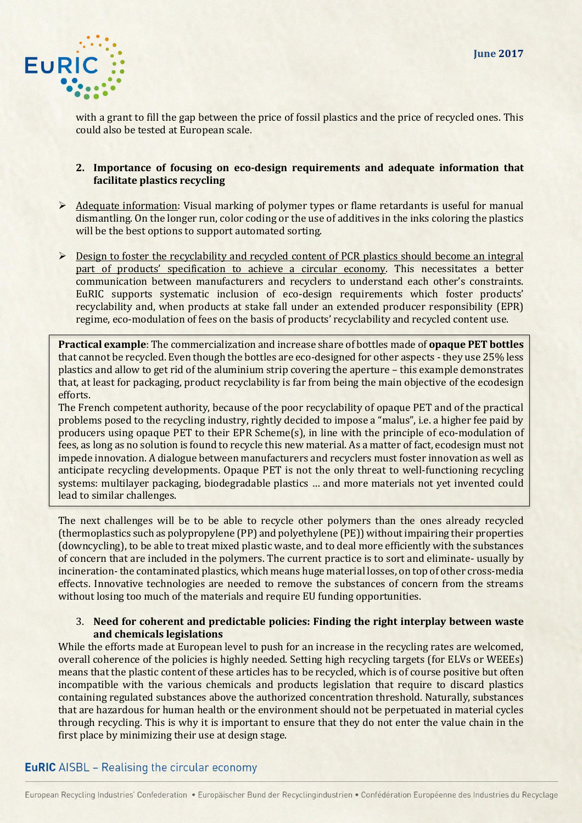

with a grant to fill the gap between the price of fossil plastics and the price of recycled ones. This could also be tested at European scale.

### **2. Importance of focusing on eco-design requirements and adequate information that facilitate plastics recycling**

- $\triangleright$  Adequate information: Visual marking of polymer types or flame retardants is useful for manual dismantling. On the longer run, color coding or the use of additives in the inks coloring the plastics will be the best options to support automated sorting.
- **EXECUTE:** Design to foster the recyclability and recycled content of PCR plastics should become an integral part of products' specification to achieve a circular economy. This necessitates a better communication between manufacturers and recyclers to understand each other's constraints. EuRIC supports systematic inclusion of eco-design requirements which foster products' recyclability and, when products at stake fall under an extended producer responsibility (EPR) regime, eco-modulation of fees on the basis of products' recyclability and recycled content use.

**Practical example**: The commercialization and increase share of bottles made of **opaque PET bottles** that cannot be recycled. Even though the bottles are eco-designed for other aspects - they use 25% less plastics and allow to get rid of the aluminium strip covering the aperture – this example demonstrates that, at least for packaging, product recyclability is far from being the main objective of the ecodesign efforts.

The French competent authority, because of the poor recyclability of opaque PET and of the practical problems posed to the recycling industry, rightly decided to impose a "malus", i.e. a higher fee paid by producers using opaque PET to their EPR Scheme(s), in line with the principle of eco-modulation of fees, as long as no solution is found to recycle this new material. As a matter of fact, ecodesign must not impede innovation. A dialogue between manufacturers and recyclers must foster innovation as well as anticipate recycling developments. Opaque PET is not the only threat to well-functioning recycling systems: multilayer packaging, biodegradable plastics … and more materials not yet invented could lead to similar challenges.

The next challenges will be to be able to recycle other polymers than the ones already recycled (thermoplastics such as polypropylene (PP) and polyethylene (PE)) without impairing their properties (downcycling), to be able to treat mixed plastic waste, and to deal more efficiently with the substances of concern that are included in the polymers. The current practice is to sort and eliminate- usually by incineration- the contaminated plastics, which means huge material losses, on top of other cross-media effects. Innovative technologies are needed to remove the substances of concern from the streams without losing too much of the materials and require EU funding opportunities.

#### 3. **Need for coherent and predictable policies: Finding the right interplay between waste and chemicals legislations**

While the efforts made at European level to push for an increase in the recycling rates are welcomed, overall coherence of the policies is highly needed. Setting high recycling targets (for ELVs or WEEEs) means that the plastic content of these articles has to be recycled, which is of course positive but often incompatible with the various chemicals and products legislation that require to discard plastics containing regulated substances above the authorized concentration threshold. Naturally, substances that are hazardous for human health or the environment should not be perpetuated in material cycles through recycling. This is why it is important to ensure that they do not enter the value chain in the first place by minimizing their use at design stage.

## **EuRIC** AISBL – Realising the circular economy